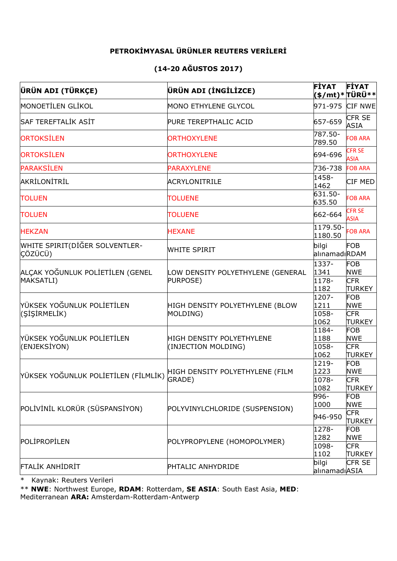## **PETROKİMYASAL ÜRÜNLER REUTERS VERİLERİ**

## **(14-20 AĞUSTOS 2017)**

| <b>ÜRÜN ADI (TÜRKÇE)</b>                      | ÜRÜN ADI (İNGİLİZCE)                             | <b>FİYAT</b><br>(\$/mt)*TÜRÜ** | <b>FİYAT</b>                 |
|-----------------------------------------------|--------------------------------------------------|--------------------------------|------------------------------|
| MONOETİLEN GLİKOL                             | MONO ETHYLENE GLYCOL                             | 971-975                        | CIF NWE                      |
| <b>SAF TEREFTALIK ASIT</b>                    | PURE TEREPTHALIC ACID                            | 657-659                        | <b>CFR SE</b><br><b>ASIA</b> |
| ORTOKSILEN                                    | <b>ORTHOXYLENE</b>                               | 787.50-<br>789.50              | <b>FOB ARA</b>               |
| <b>ORTOKSİLEN</b>                             | <b>ORTHOXYLENE</b>                               | 694-696                        | <b>CFR SE</b><br><b>ASIA</b> |
| <b>PARAKSİLEN</b>                             | <b>PARAXYLENE</b>                                | 736-738                        | <b>FOB ARA</b>               |
| AKRİLONİTRİL                                  | <b>ACRYLONITRILE</b>                             | 1458-<br>1462                  | CIF MED                      |
| <b>TOLUEN</b>                                 | <b>TOLUENE</b>                                   | 631.50-<br>635.50              | <b>FOB ARA</b>               |
| <b>TOLUEN</b>                                 | <b>TOLUENE</b>                                   | 662-664                        | <b>CFR SE</b><br><b>ASIA</b> |
| <b>HEKZAN</b>                                 | <b>HEXANE</b>                                    | 1179.50-<br>1180.50            | <b>FOB ARA</b>               |
| WHITE SPIRIT(DİĞER SOLVENTLER-<br>CÖZÜCÜ)     | <b>WHITE SPIRIT</b>                              | bilgi<br>alınamadıRDAM         | <b>FOB</b>                   |
| ALÇAK YOĞUNLUK POLİETİLEN (GENEL<br>MAKSATLI) | LOW DENSITY POLYETHYLENE (GENERAL<br>PURPOSE)    | 1337-<br>1341                  | <b>FOB</b><br><b>NWE</b>     |
|                                               |                                                  | 1178-<br>1182                  | <b>CFR</b><br><b>TURKEY</b>  |
| YÜKSEK YOĞUNLUK POLİETİLEN<br>(SİŞİRMELİK)    | HIGH DENSITY POLYETHYLENE (BLOW<br>MOLDING)      | 1207-<br>1211                  | <b>FOB</b><br><b>NWE</b>     |
|                                               |                                                  | 1058-                          | <b>CFR</b>                   |
|                                               |                                                  | 1062                           | <b>TURKEY</b>                |
| YÜKSEK YOĞUNLUK POLİETİLEN<br>(ENJEKSİYON)    | HIGH DENSITY POLYETHYLENE<br>(INJECTION MOLDING) | 1184-<br>1188                  | <b>FOB</b><br><b>NWE</b>     |
|                                               |                                                  | 1058-                          | <b>CFR</b>                   |
|                                               |                                                  | 1062                           | <b>TURKEY</b>                |
| YÜKSEK YOĞUNLUK POLİETİLEN (FİLMLİK)          | HIGH DENSITY POLYETHYLENE (FILM<br>GRADE)        | 1219-                          | <b>FOB</b>                   |
|                                               |                                                  | 1223<br>1078-                  | NWE<br><b>CFR</b>            |
|                                               |                                                  | 1082                           | TURKEY                       |
| POLİVİNİL KLORÜR (SÜSPANSİYON)                | POLYVINYLCHLORIDE (SUSPENSION)                   | 996-                           | <b>FOB</b>                   |
|                                               |                                                  | 1000                           | <b>NWE</b>                   |
|                                               |                                                  | 946-950                        | <b>CFR</b><br>TURKEY         |
| POLIPROPILEN                                  |                                                  | 1278-                          | <b>FOB</b>                   |
|                                               | POLYPROPYLENE (HOMOPOLYMER)                      | 1282                           | <b>NWE</b>                   |
|                                               |                                                  | 1098-<br>1102                  | <b>CFR</b><br><b>TURKEY</b>  |
| <b>FTALIK ANHIDRIT</b>                        |                                                  | bilgi                          | CFR <sub>SE</sub>            |
|                                               | PHTALIC ANHYDRIDE                                | alınamadıASIA                  |                              |

\* Kaynak: Reuters Verileri

\*\* **NWE**: Northwest Europe, **RDAM**: Rotterdam, **SE ASIA**: South East Asia, **MED**:

Mediterranean **ARA:** Amsterdam-Rotterdam-Antwerp